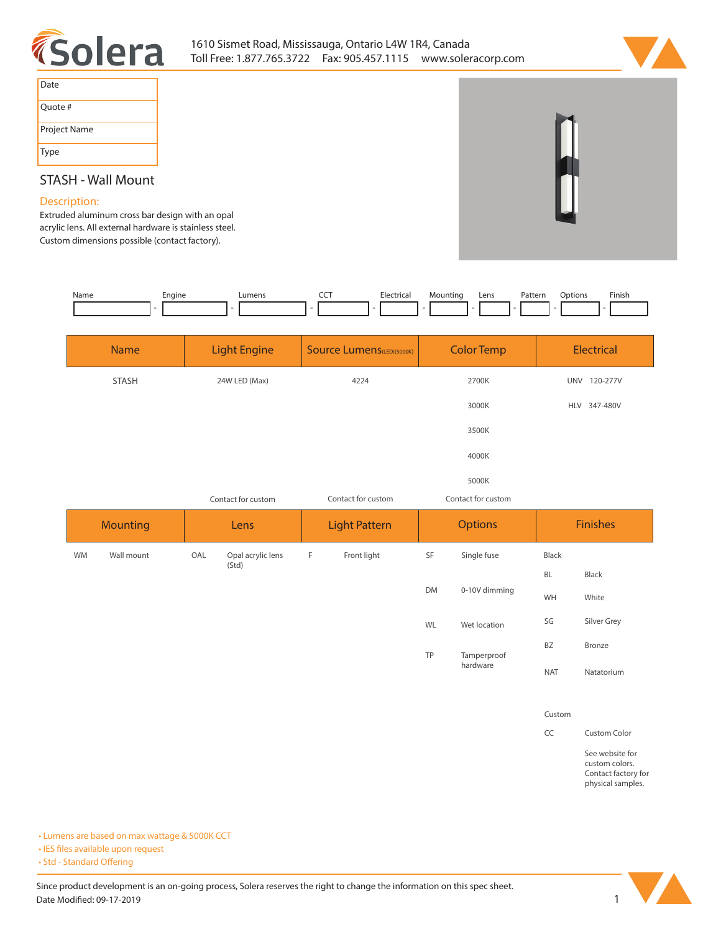



| Date         |
|--------------|
| Quote #      |
| Project Name |
| Type         |

## **STASH - Wall Mount**

## **Description:**

**Extruded aluminum cross bar design with an opal acrylic lens. All external hardware is stainless steel. Custom dimensions possible (contact factory).** 

| Name      | Engine          | Lumens                   | Electrical<br>CCT                 | Mounting<br>Pattern<br>Lens | Finish<br>Options        |
|-----------|-----------------|--------------------------|-----------------------------------|-----------------------------|--------------------------|
|           | <b>Name</b>     | <b>Light Engine</b>      | <b>Source Lumens</b> (LED)(5000K) | <b>Color Temp</b>           | Electrical               |
|           | <b>STASH</b>    | 24W LED (Max)            | 4224                              | 2700K                       | UNV 120-277V             |
|           |                 |                          |                                   | 3000K                       | HLV 347-480V             |
|           |                 |                          |                                   | 3500K                       |                          |
|           |                 |                          |                                   | 4000K                       |                          |
|           |                 |                          |                                   | 5000K                       |                          |
|           |                 | Contact for custom       | Contact for custom                | Contact for custom          |                          |
|           |                 |                          |                                   |                             |                          |
|           | <b>Mounting</b> | Lens                     | <b>Light Pattern</b>              | <b>Options</b>              | <b>Finishes</b>          |
| <b>WM</b> | Wall mount      | OAL<br>Opal acrylic lens | Front light<br>F                  | SF<br>Single fuse           | Black                    |
|           |                 | (Std)                    |                                   |                             | BL<br>Black              |
|           |                 |                          |                                   | 0-10V dimming<br><b>DM</b>  | WH<br>White              |
|           |                 |                          |                                   | Wet location<br>WL          | SG<br>Silver Grey        |
|           |                 |                          |                                   | TP                          | BZ<br>Bronze             |
|           |                 |                          |                                   | Tamperproof<br>hardware     | <b>NAT</b><br>Natatorium |

**CC Custom Color**

**See website for custom colors. Contact factory for physical samples.** 

**• Lumens are based on max wattage & 5000K CCT**

**• IES files available upon request** 

• Std - Standard Offering